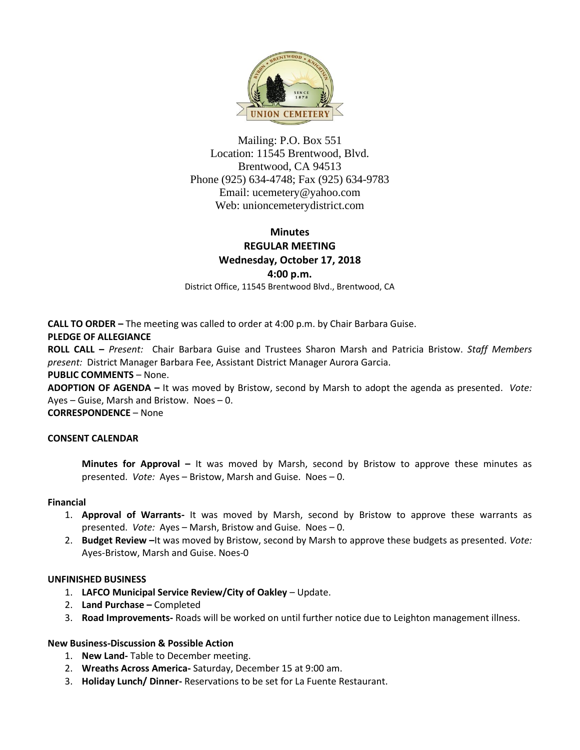

Mailing: P.O. Box 551 Location: 11545 Brentwood, Blvd. Brentwood, CA 94513 Phone (925) 634-4748; Fax (925) 634-9783 Email: [ucemetery@yahoo.com](mailto:ucemetery@yahoo.com) Web: unioncemeterydistrict.com

# **Minutes REGULAR MEETING Wednesday, October 17, 2018**

**4:00 p.m.**

District Office, 11545 Brentwood Blvd., Brentwood, CA

**CALL TO ORDER –** The meeting was called to order at 4:00 p.m. by Chair Barbara Guise.

### **PLEDGE OF ALLEGIANCE**

**ROLL CALL –** *Present:* Chair Barbara Guise and Trustees Sharon Marsh and Patricia Bristow. *Staff Members present:* District Manager Barbara Fee, Assistant District Manager Aurora Garcia.

#### **PUBLIC COMMENTS** – None.

**ADOPTION OF AGENDA –** It was moved by Bristow, second by Marsh to adopt the agenda as presented. *Vote:*  Ayes – Guise, Marsh and Bristow. Noes – 0.

**CORRESPONDENCE** – None

#### **CONSENT CALENDAR**

**Minutes for Approval –** It was moved by Marsh, second by Bristow to approve these minutes as presented. *Vote:* Ayes – Bristow, Marsh and Guise. Noes – 0.

#### **Financial**

- 1. **Approval of Warrants-** It was moved by Marsh, second by Bristow to approve these warrants as presented. *Vote:* Ayes – Marsh, Bristow and Guise. Noes – 0.
- 2. **Budget Review –**It was moved by Bristow, second by Marsh to approve these budgets as presented. *Vote:*  Ayes-Bristow, Marsh and Guise. Noes-0

#### **UNFINISHED BUSINESS**

- 1. **LAFCO Municipal Service Review/City of Oakley** Update.
- 2. **Land Purchase –** Completed
- 3. **Road Improvements-** Roads will be worked on until further notice due to Leighton management illness.

#### **New Business-Discussion & Possible Action**

- 1. **New Land-** Table to December meeting.
- 2. **Wreaths Across America-** Saturday, December 15 at 9:00 am.
- 3. **Holiday Lunch/ Dinner-** Reservations to be set for La Fuente Restaurant.